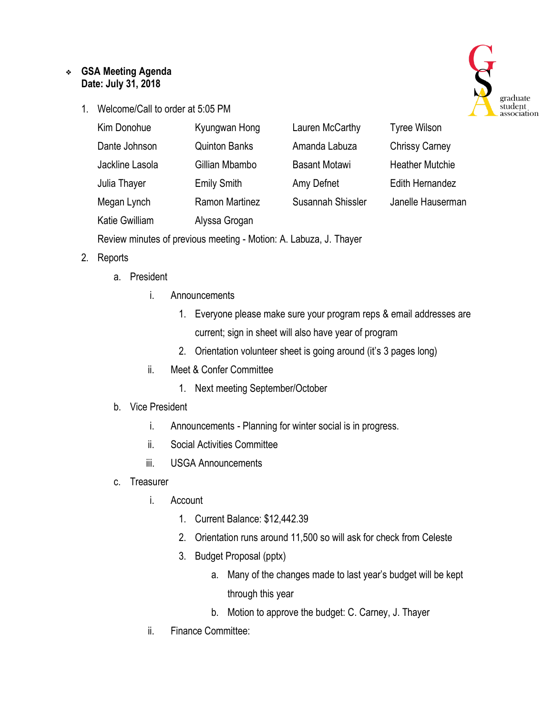## ❖ **GSA Meeting Agenda Date: July 31, 2018**

1. Welcome/Call to order at 5:05 PM



| Kim Donohue     | Kyungwan Hong         | Lauren McCarthy      | <b>Tyree Wilson</b>    |
|-----------------|-----------------------|----------------------|------------------------|
| Dante Johnson   | <b>Quinton Banks</b>  | Amanda Labuza        | <b>Chrissy Carney</b>  |
| Jackline Lasola | Gillian Mbambo        | <b>Basant Motawi</b> | <b>Heather Mutchie</b> |
| Julia Thayer    | <b>Emily Smith</b>    | Amy Defnet           | Edith Hernandez        |
| Megan Lynch     | <b>Ramon Martinez</b> | Susannah Shissler    | Janelle Hauserman      |
| Katie Gwilliam  | Alyssa Grogan         |                      |                        |

Review minutes of previous meeting - Motion: A. Labuza, J. Thayer

#### 2. Reports

- a. President
	- i. Announcements
		- 1. Everyone please make sure your program reps & email addresses are current; sign in sheet will also have year of program
		- 2. Orientation volunteer sheet is going around (it's 3 pages long)
	- ii. Meet & Confer Committee
		- 1. Next meeting September/October

#### b. Vice President

- i. Announcements Planning for winter social is in progress.
- ii. Social Activities Committee
- iii. USGA Announcements
- c. Treasurer
	- i. Account
		- 1. Current Balance: \$12,442.39
		- 2. Orientation runs around 11,500 so will ask for check from Celeste
		- 3. Budget Proposal (pptx)
			- a. Many of the changes made to last year's budget will be kept through this year
			- b. Motion to approve the budget: C. Carney, J. Thayer
	- ii. Finance Committee: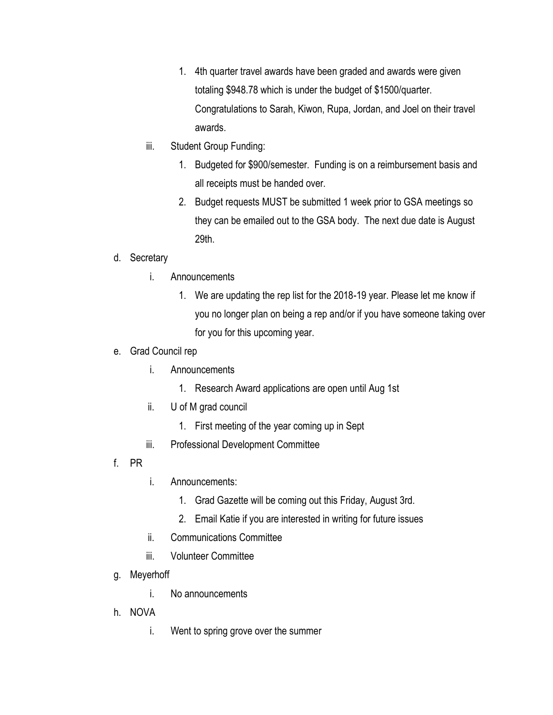- 1. 4th quarter travel awards have been graded and awards were given totaling \$948.78 which is under the budget of \$1500/quarter. Congratulations to Sarah, Kiwon, Rupa, Jordan, and Joel on their travel awards.
- iii. Student Group Funding:
	- 1. Budgeted for \$900/semester. Funding is on a reimbursement basis and all receipts must be handed over.
	- 2. Budget requests MUST be submitted 1 week prior to GSA meetings so they can be emailed out to the GSA body. The next due date is August 29th.

# d. Secretary

- i. Announcements
	- 1. We are updating the rep list for the 2018-19 year. Please let me know if you no longer plan on being a rep and/or if you have someone taking over for you for this upcoming year.
- e. Grad Council rep
	- i. Announcements
		- 1. Research Award applications are open until Aug 1st
	- ii. U of M grad council
		- 1. First meeting of the year coming up in Sept
	- iii. Professional Development Committee
- f. PR
- i. Announcements:
	- 1. Grad Gazette will be coming out this Friday, August 3rd.
	- 2. Email Katie if you are interested in writing for future issues
- ii. Communications Committee
- iii. Volunteer Committee
- g. Meyerhoff
	- i. No announcements
- h. NOVA
	- i. Went to spring grove over the summer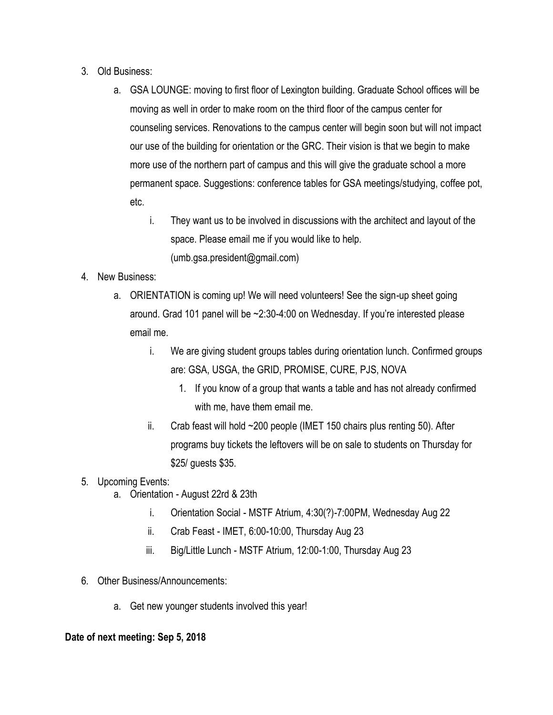- 3. Old Business:
	- a. GSA LOUNGE: moving to first floor of Lexington building. Graduate School offices will be moving as well in order to make room on the third floor of the campus center for counseling services. Renovations to the campus center will begin soon but will not impact our use of the building for orientation or the GRC. Their vision is that we begin to make more use of the northern part of campus and this will give the graduate school a more permanent space. Suggestions: conference tables for GSA meetings/studying, coffee pot, etc.
		- i. They want us to be involved in discussions with the architect and layout of the space. Please email me if you would like to help. (umb.gsa.president@gmail.com)
- 4. New Business:
	- a. ORIENTATION is coming up! We will need volunteers! See the sign-up sheet going around. Grad 101 panel will be ~2:30-4:00 on Wednesday. If you're interested please email me.
		- i. We are giving student groups tables during orientation lunch. Confirmed groups are: GSA, USGA, the GRID, PROMISE, CURE, PJS, NOVA
			- 1. If you know of a group that wants a table and has not already confirmed with me, have them email me.
		- ii. Crab feast will hold ~200 people (IMET 150 chairs plus renting 50). After programs buy tickets the leftovers will be on sale to students on Thursday for \$25/ guests \$35.
- 5. Upcoming Events:
	- a. Orientation August 22rd & 23th
		- i. Orientation Social MSTF Atrium, 4:30(?)-7:00PM, Wednesday Aug 22
		- ii. Crab Feast IMET, 6:00-10:00, Thursday Aug 23
		- iii. Big/Little Lunch MSTF Atrium, 12:00-1:00, Thursday Aug 23
- 6. Other Business/Announcements:
	- a. Get new younger students involved this year!

## **Date of next meeting: Sep 5, 2018**